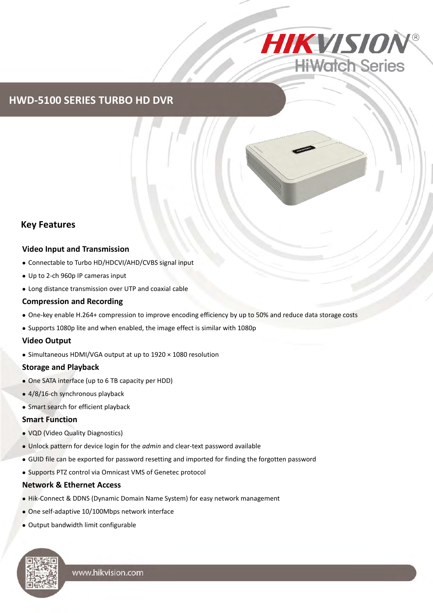

## **HWD-5100 SERIES TURBO HD DVR**

### **Key Features**

#### **Video Input and Transmission**

- Connectable to Turbo HD/HDCVI/AHD/CVBS signal input
- Up to 2-ch 960p IP cameras input
- Long distance transmission over UTP and coaxial cable

#### **Compression and Recording**

- One-key enable H.264+ compression to improve encoding efficiency by up to 50% and reduce data storage costs
- Supports 1080p lite and when enabled, the image effect is similar with 1080p

#### **Video Output**

Simultaneous HDMI/VGA output at up to 1920 × 1080 resolution

#### **Storage and Playback**

- One SATA interface (up to 6 TB capacity per HDD)
- 4/8/16-ch synchronous playback
- Smart search for efficient playback

#### **Smart Function**

- VQD (Video Quality Diagnostics)
- Unlock pattern for device login for the *admin* and clear-text password available
- GUID file can be exported for password resetting and imported for finding the forgotten password
- Supports PTZ control via Omnicast VMS of Genetec protocol

#### **Network & Ethernet Access**

- Hik-Connect & DDNS (Dynamic Domain Name System) for easy network management
- One self-adaptive 10/100Mbps network interface
- Output bandwidth limit configurable

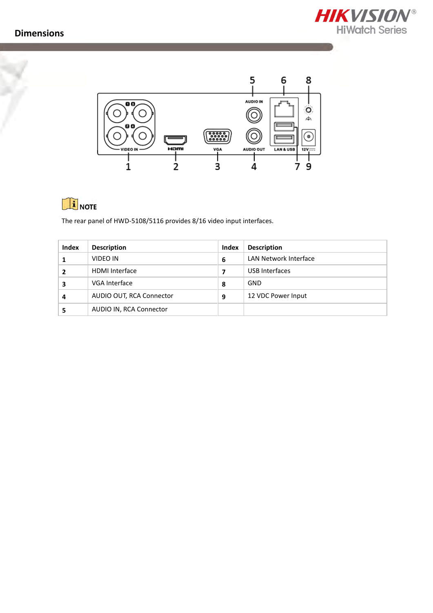



# **i** NOTE

The rear panel of HWD-5108/5116 provides 8/16 video input interfaces.

| Index | <b>Description</b>       | Index | <b>Description</b>    |
|-------|--------------------------|-------|-----------------------|
|       | VIDEO IN                 | 6     | LAN Network Interface |
|       | <b>HDMI</b> Interface    |       | USB Interfaces        |
|       | VGA Interface            | 8     | GND                   |
| Δ     | AUDIO OUT, RCA Connector | 9     | 12 VDC Power Input    |
|       | AUDIO IN, RCA Connector  |       |                       |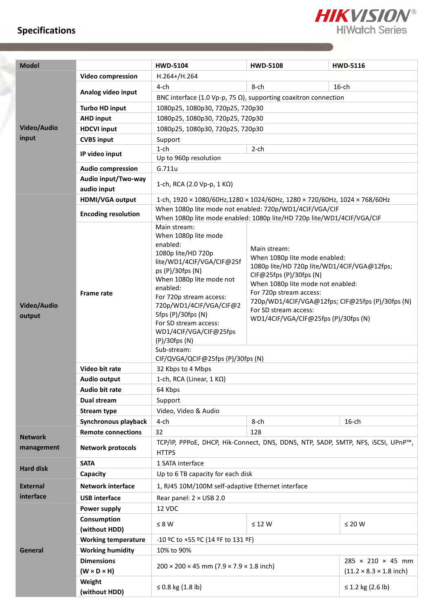## **Specifications**



**START OF BUILDING** 

| <b>Model</b>          |                                              | <b>HWD-5104</b>                                                                                                                                                                                                                                                                                                                                                          | <b>HWD-5108</b>                                                                                                                                                                                                                                                                                              | <b>HWD-5116</b> |  |  |
|-----------------------|----------------------------------------------|--------------------------------------------------------------------------------------------------------------------------------------------------------------------------------------------------------------------------------------------------------------------------------------------------------------------------------------------------------------------------|--------------------------------------------------------------------------------------------------------------------------------------------------------------------------------------------------------------------------------------------------------------------------------------------------------------|-----------------|--|--|
|                       | Video compression                            | $H.264+/H.264$                                                                                                                                                                                                                                                                                                                                                           |                                                                                                                                                                                                                                                                                                              |                 |  |  |
|                       |                                              | 4-ch                                                                                                                                                                                                                                                                                                                                                                     | 8-ch                                                                                                                                                                                                                                                                                                         | $16$ -ch        |  |  |
|                       | Analog video input                           | BNC interface (1.0 Vp-p, 75 $\Omega$ ), supporting coaxitron connection                                                                                                                                                                                                                                                                                                  |                                                                                                                                                                                                                                                                                                              |                 |  |  |
|                       | <b>Turbo HD input</b>                        | 1080p25, 1080p30, 720p25, 720p30                                                                                                                                                                                                                                                                                                                                         |                                                                                                                                                                                                                                                                                                              |                 |  |  |
|                       | <b>AHD input</b>                             | 1080p25, 1080p30, 720p25, 720p30                                                                                                                                                                                                                                                                                                                                         |                                                                                                                                                                                                                                                                                                              |                 |  |  |
| Video/Audio           | <b>HDCVI input</b>                           | 1080p25, 1080p30, 720p25, 720p30                                                                                                                                                                                                                                                                                                                                         |                                                                                                                                                                                                                                                                                                              |                 |  |  |
| input                 | <b>CVBS input</b>                            | Support                                                                                                                                                                                                                                                                                                                                                                  |                                                                                                                                                                                                                                                                                                              |                 |  |  |
|                       | IP video input                               | $1$ -ch<br>$2$ -ch                                                                                                                                                                                                                                                                                                                                                       |                                                                                                                                                                                                                                                                                                              |                 |  |  |
|                       |                                              | Up to 960p resolution                                                                                                                                                                                                                                                                                                                                                    |                                                                                                                                                                                                                                                                                                              |                 |  |  |
|                       | <b>Audio compression</b>                     | G.711u                                                                                                                                                                                                                                                                                                                                                                   |                                                                                                                                                                                                                                                                                                              |                 |  |  |
|                       | Audio input/Two-way<br>audio input           | 1-ch, RCA (2.0 Vp-p, 1 KΩ)                                                                                                                                                                                                                                                                                                                                               |                                                                                                                                                                                                                                                                                                              |                 |  |  |
|                       | <b>HDMI/VGA output</b>                       | 1-ch, 1920 × 1080/60Hz, 1280 × 1024/60Hz, 1280 × 720/60Hz, 1024 × 768/60Hz                                                                                                                                                                                                                                                                                               |                                                                                                                                                                                                                                                                                                              |                 |  |  |
|                       |                                              | When 1080p lite mode not enabled: 720p/WD1/4CIF/VGA/CIF                                                                                                                                                                                                                                                                                                                  |                                                                                                                                                                                                                                                                                                              |                 |  |  |
|                       | <b>Encoding resolution</b>                   | When 1080p lite mode enabled: 1080p lite/HD 720p lite/WD1/4CIF/VGA/CIF                                                                                                                                                                                                                                                                                                   |                                                                                                                                                                                                                                                                                                              |                 |  |  |
| Video/Audio<br>output | <b>Frame rate</b>                            | Main stream:<br>When 1080p lite mode<br>enabled:<br>1080p lite/HD 720p<br>lite/WD1/4CIF/VGA/CIF@25f<br>ps (P)/30fps (N)<br>When 1080p lite mode not<br>enabled:<br>For 720p stream access:<br>720p/WD1/4CIF/VGA/CIF@2<br>5fps (P)/30fps (N)<br>For SD stream access:<br>WD1/4CIF/VGA/CIF@25fps<br>$(P)/30$ fps $(N)$<br>Sub-stream:<br>CIF/QVGA/QCIF@25fps (P)/30fps (N) | Main stream:<br>When 1080p lite mode enabled:<br>1080p lite/HD 720p lite/WD1/4CIF/VGA@12fps;<br>CIF@25fps (P)/30fps (N)<br>When 1080p lite mode not enabled:<br>For 720p stream access:<br>720p/WD1/4CIF/VGA@12fps; CIF@25fps (P)/30fps (N)<br>For SD stream access:<br>WD1/4CIF/VGA/CIF@25fps (P)/30fps (N) |                 |  |  |
|                       | Video bit rate                               | 32 Kbps to 4 Mbps                                                                                                                                                                                                                                                                                                                                                        |                                                                                                                                                                                                                                                                                                              |                 |  |  |
|                       | Audio output                                 | 1-ch, RCA (Linear, $1 K\Omega$ )                                                                                                                                                                                                                                                                                                                                         |                                                                                                                                                                                                                                                                                                              |                 |  |  |
|                       | Audio bit rate                               | 64 Kbps                                                                                                                                                                                                                                                                                                                                                                  |                                                                                                                                                                                                                                                                                                              |                 |  |  |
|                       | Dual stream                                  | Support                                                                                                                                                                                                                                                                                                                                                                  |                                                                                                                                                                                                                                                                                                              |                 |  |  |
|                       | <b>Stream type</b>                           | Video, Video & Audio                                                                                                                                                                                                                                                                                                                                                     |                                                                                                                                                                                                                                                                                                              |                 |  |  |
|                       | Synchronous playback                         | 4-ch                                                                                                                                                                                                                                                                                                                                                                     | 8-ch                                                                                                                                                                                                                                                                                                         | $16$ -ch        |  |  |
| <b>Network</b>        | <b>Remote connections</b>                    | 32<br>128                                                                                                                                                                                                                                                                                                                                                                |                                                                                                                                                                                                                                                                                                              |                 |  |  |
| management            | <b>Network protocols</b>                     | TCP/IP, PPPoE, DHCP, Hik-Connect, DNS, DDNS, NTP, SADP, SMTP, NFS, iSCSI, UPnP™,<br><b>HTTPS</b>                                                                                                                                                                                                                                                                         |                                                                                                                                                                                                                                                                                                              |                 |  |  |
| <b>Hard disk</b>      | <b>SATA</b>                                  | 1 SATA interface                                                                                                                                                                                                                                                                                                                                                         |                                                                                                                                                                                                                                                                                                              |                 |  |  |
|                       | Capacity                                     | Up to 6 TB capacity for each disk                                                                                                                                                                                                                                                                                                                                        |                                                                                                                                                                                                                                                                                                              |                 |  |  |
| <b>External</b>       | <b>Network interface</b>                     | 1, RJ45 10M/100M self-adaptive Ethernet interface                                                                                                                                                                                                                                                                                                                        |                                                                                                                                                                                                                                                                                                              |                 |  |  |
| interface             | <b>USB</b> interface                         | Rear panel: 2 × USB 2.0                                                                                                                                                                                                                                                                                                                                                  |                                                                                                                                                                                                                                                                                                              |                 |  |  |
|                       | <b>Power supply</b>                          | 12 VDC                                                                                                                                                                                                                                                                                                                                                                   |                                                                                                                                                                                                                                                                                                              |                 |  |  |
|                       | Consumption<br>(without HDD)                 | $\leq 8 W$                                                                                                                                                                                                                                                                                                                                                               | $\leq$ 12 W                                                                                                                                                                                                                                                                                                  | $\leq 20$ W     |  |  |
|                       | <b>Working temperature</b>                   | $-10$ ºC to +55 ºC (14 ºF to 131 ºF)                                                                                                                                                                                                                                                                                                                                     |                                                                                                                                                                                                                                                                                                              |                 |  |  |
| <b>General</b>        | <b>Working humidity</b>                      | 10% to 90%                                                                                                                                                                                                                                                                                                                                                               |                                                                                                                                                                                                                                                                                                              |                 |  |  |
|                       | <b>Dimensions</b><br>$(W \times D \times H)$ | $285 \times 210 \times 45$ mm<br>$200 \times 200 \times 45$ mm (7.9 $\times$ 7.9 $\times$ 1.8 inch)<br>$(11.2 \times 8.3 \times 1.8 \text{ inch})$                                                                                                                                                                                                                       |                                                                                                                                                                                                                                                                                                              |                 |  |  |
|                       | Weight<br>(without HDD)                      | ≤ 0.8 kg $(1.8 \text{ lb})$<br>≤ 1.2 kg $(2.6 \text{ lb})$                                                                                                                                                                                                                                                                                                               |                                                                                                                                                                                                                                                                                                              |                 |  |  |